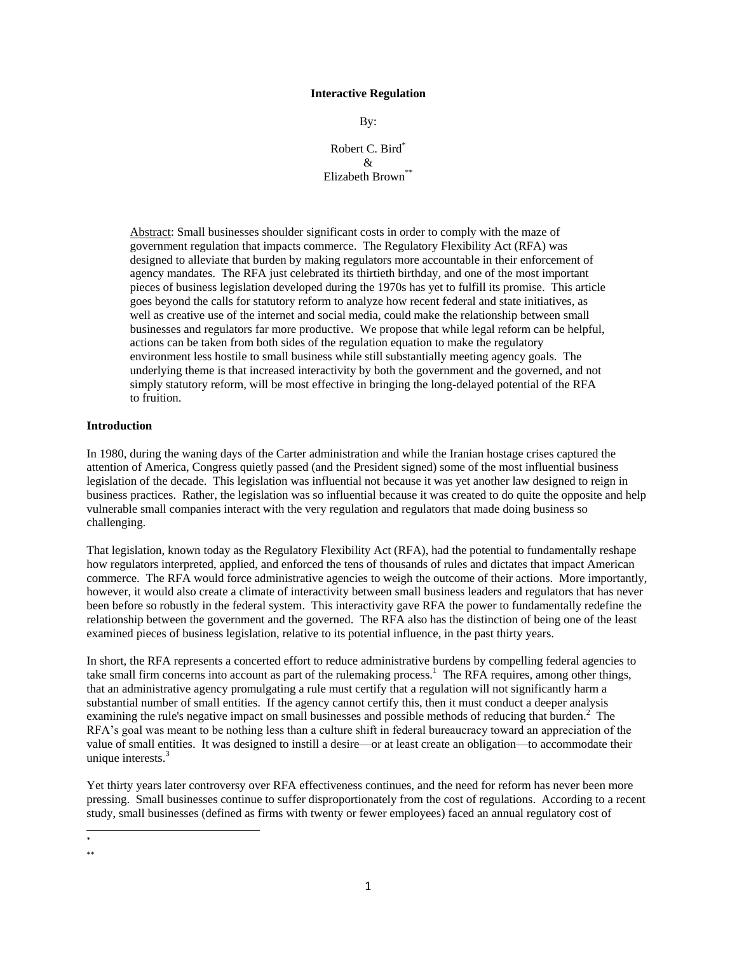### **Interactive Regulation**

By:

Robert C. Bird\*  $\mathcal{R}$ Elizabeth Brown\*\*

Abstract: Small businesses shoulder significant costs in order to comply with the maze of government regulation that impacts commerce. The Regulatory Flexibility Act (RFA) was designed to alleviate that burden by making regulators more accountable in their enforcement of agency mandates. The RFA just celebrated its thirtieth birthday, and one of the most important pieces of business legislation developed during the 1970s has yet to fulfill its promise. This article goes beyond the calls for statutory reform to analyze how recent federal and state initiatives, as well as creative use of the internet and social media, could make the relationship between small businesses and regulators far more productive. We propose that while legal reform can be helpful, actions can be taken from both sides of the regulation equation to make the regulatory environment less hostile to small business while still substantially meeting agency goals. The underlying theme is that increased interactivity by both the government and the governed, and not simply statutory reform, will be most effective in bringing the long-delayed potential of the RFA to fruition.

### **Introduction**

In 1980, during the waning days of the Carter administration and while the Iranian hostage crises captured the attention of America, Congress quietly passed (and the President signed) some of the most influential business legislation of the decade. This legislation was influential not because it was yet another law designed to reign in business practices. Rather, the legislation was so influential because it was created to do quite the opposite and help vulnerable small companies interact with the very regulation and regulators that made doing business so challenging.

That legislation, known today as the Regulatory Flexibility Act (RFA), had the potential to fundamentally reshape how regulators interpreted, applied, and enforced the tens of thousands of rules and dictates that impact American commerce. The RFA would force administrative agencies to weigh the outcome of their actions. More importantly, however, it would also create a climate of interactivity between small business leaders and regulators that has never been before so robustly in the federal system. This interactivity gave RFA the power to fundamentally redefine the relationship between the government and the governed. The RFA also has the distinction of being one of the least examined pieces of business legislation, relative to its potential influence, in the past thirty years.

In short, the RFA represents a concerted effort to reduce administrative burdens by compelling federal agencies to take small firm concerns into account as part of the rulemaking process.<sup>1</sup> The RFA requires, among other things, that an administrative agency promulgating a rule must certify that a regulation will not significantly harm a substantial number of small entities. If the agency cannot certify this, then it must conduct a deeper analysis examining the rule's negative impact on small businesses and possible methods of reducing that burden.<sup>2</sup> The RFA's goal was meant to be nothing less than a culture shift in federal bureaucracy toward an appreciation of the value of small entities. It was designed to instill a desire—or at least create an obligation—to accommodate their unique interests. $3$ 

Yet thirty years later controversy over RFA effectiveness continues, and the need for reform has never been more pressing. Small businesses continue to suffer disproportionately from the cost of regulations. According to a recent study, small businesses (defined as firms with twenty or fewer employees) faced an annual regulatory cost of

 $\overline{\phantom{a}}$ \* \*\*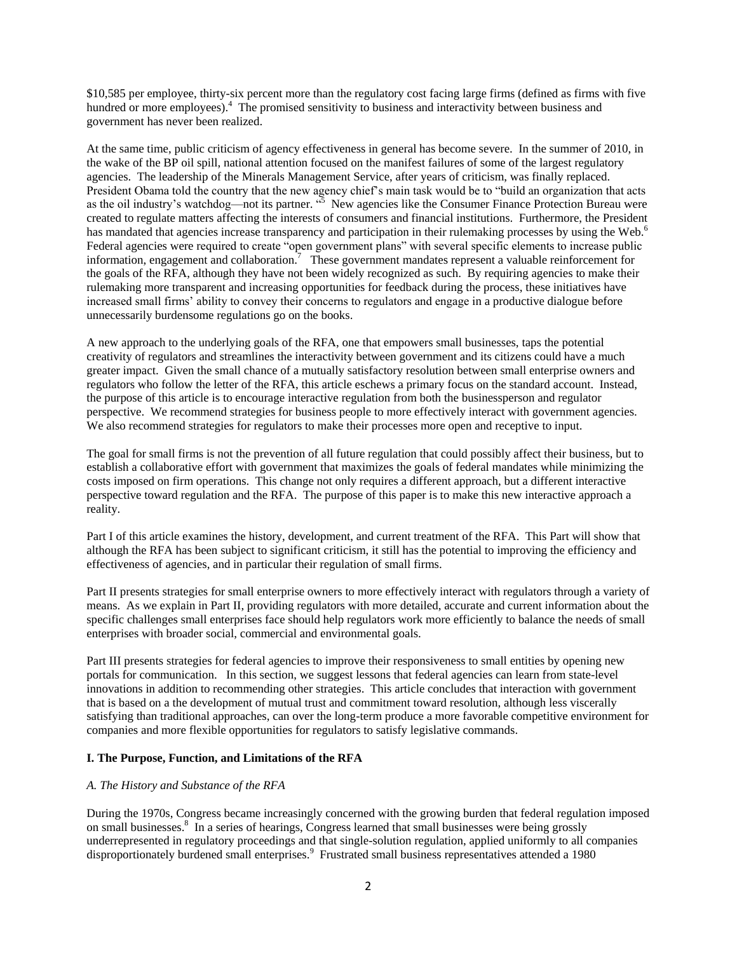\$10,585 per employee, thirty-six percent more than the regulatory cost facing large firms (defined as firms with five hundred or more employees).<sup>4</sup> The promised sensitivity to business and interactivity between business and government has never been realized.

At the same time, public criticism of agency effectiveness in general has become severe. In the summer of 2010, in the wake of the BP oil spill, national attention focused on the manifest failures of some of the largest regulatory agencies. The leadership of the Minerals Management Service, after years of criticism, was finally replaced. President Obama told the country that the new agency chief's main task would be to "build an organization that acts as the oil industry's watchdog—not its partner.  $\frac{1}{5}$  New agencies like the Consumer Finance Protection Bureau were created to regulate matters affecting the interests of consumers and financial institutions. Furthermore, the President has mandated that agencies increase transparency and participation in their rulemaking processes by using the Web.<sup>6</sup> Federal agencies were required to create "open government plans" with several specific elements to increase public information, engagement and collaboration.<sup>7</sup> These government mandates represent a valuable reinforcement for the goals of the RFA, although they have not been widely recognized as such. By requiring agencies to make their rulemaking more transparent and increasing opportunities for feedback during the process, these initiatives have increased small firms' ability to convey their concerns to regulators and engage in a productive dialogue before unnecessarily burdensome regulations go on the books.

A new approach to the underlying goals of the RFA, one that empowers small businesses, taps the potential creativity of regulators and streamlines the interactivity between government and its citizens could have a much greater impact. Given the small chance of a mutually satisfactory resolution between small enterprise owners and regulators who follow the letter of the RFA, this article eschews a primary focus on the standard account. Instead, the purpose of this article is to encourage interactive regulation from both the businessperson and regulator perspective. We recommend strategies for business people to more effectively interact with government agencies. We also recommend strategies for regulators to make their processes more open and receptive to input.

The goal for small firms is not the prevention of all future regulation that could possibly affect their business, but to establish a collaborative effort with government that maximizes the goals of federal mandates while minimizing the costs imposed on firm operations. This change not only requires a different approach, but a different interactive perspective toward regulation and the RFA. The purpose of this paper is to make this new interactive approach a reality.

Part I of this article examines the history, development, and current treatment of the RFA. This Part will show that although the RFA has been subject to significant criticism, it still has the potential to improving the efficiency and effectiveness of agencies, and in particular their regulation of small firms.

Part II presents strategies for small enterprise owners to more effectively interact with regulators through a variety of means. As we explain in Part II, providing regulators with more detailed, accurate and current information about the specific challenges small enterprises face should help regulators work more efficiently to balance the needs of small enterprises with broader social, commercial and environmental goals.

Part III presents strategies for federal agencies to improve their responsiveness to small entities by opening new portals for communication. In this section, we suggest lessons that federal agencies can learn from state-level innovations in addition to recommending other strategies. This article concludes that interaction with government that is based on a the development of mutual trust and commitment toward resolution, although less viscerally satisfying than traditional approaches, can over the long-term produce a more favorable competitive environment for companies and more flexible opportunities for regulators to satisfy legislative commands.

# **I. The Purpose, Function, and Limitations of the RFA**

# *A. The History and Substance of the RFA*

During the 1970s, Congress became increasingly concerned with the growing burden that federal regulation imposed on small businesses.<sup>8</sup> In a series of hearings, Congress learned that small businesses were being grossly underrepresented in regulatory proceedings and that single-solution regulation, applied uniformly to all companies disproportionately burdened small enterprises.<sup>9</sup> Frustrated small business representatives attended a 1980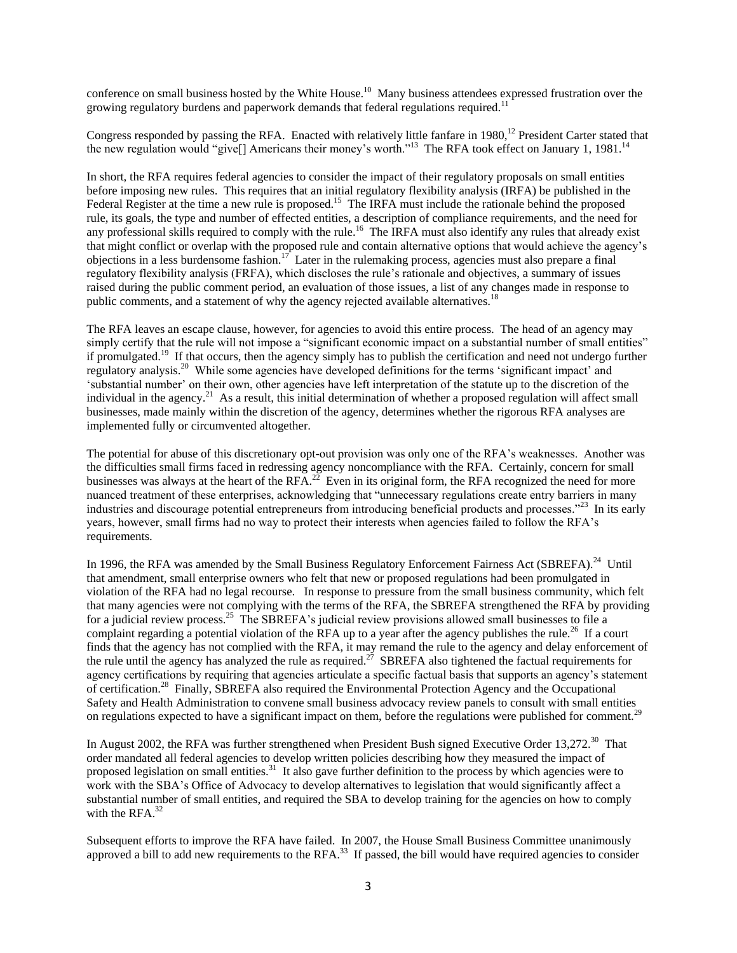conference on small business hosted by the White House.<sup>10</sup> Many business attendees expressed frustration over the growing regulatory burdens and paperwork demands that federal regulations required.<sup>11</sup>

Congress responded by passing the RFA. Enacted with relatively little fanfare in  $1980$ ,<sup>12</sup> President Carter stated that the new regulation would "give[] Americans their money's worth."<sup>13</sup> The RFA took effect on January 1, 1981.<sup>14</sup>

In short, the RFA requires federal agencies to consider the impact of their regulatory proposals on small entities before imposing new rules. This requires that an initial regulatory flexibility analysis (IRFA) be published in the Federal Register at the time a new rule is proposed.<sup>15</sup> The IRFA must include the rationale behind the proposed rule, its goals, the type and number of effected entities, a description of compliance requirements, and the need for any professional skills required to comply with the rule.<sup>16</sup> The IRFA must also identify any rules that already exist that might conflict or overlap with the proposed rule and contain alternative options that would achieve the agency's objections in a less burdensome fashion.<sup>17</sup> Later in the rulemaking process, agencies must also prepare a final regulatory flexibility analysis (FRFA), which discloses the rule's rationale and objectives, a summary of issues raised during the public comment period, an evaluation of those issues, a list of any changes made in response to public comments, and a statement of why the agency rejected available alternatives.<sup>18</sup>

The RFA leaves an escape clause, however, for agencies to avoid this entire process. The head of an agency may simply certify that the rule will not impose a "significant economic impact on a substantial number of small entities" if promulgated.<sup>19</sup> If that occurs, then the agency simply has to publish the certification and need not undergo further regulatory analysis.<sup>20</sup> While some agencies have developed definitions for the terms 'significant impact' and ‗substantial number' on their own, other agencies have left interpretation of the statute up to the discretion of the individual in the agency.<sup>21</sup> As a result, this initial determination of whether a proposed regulation will affect small businesses, made mainly within the discretion of the agency, determines whether the rigorous RFA analyses are implemented fully or circumvented altogether.

The potential for abuse of this discretionary opt-out provision was only one of the RFA's weaknesses. Another was the difficulties small firms faced in redressing agency noncompliance with the RFA. Certainly, concern for small businesses was always at the heart of the RFA. $^{22}$  Even in its original form, the RFA recognized the need for more nuanced treatment of these enterprises, acknowledging that "unnecessary regulations create entry barriers in many industries and discourage potential entrepreneurs from introducing beneficial products and processes."<sup>23</sup> In its early years, however, small firms had no way to protect their interests when agencies failed to follow the RFA's requirements.

In 1996, the RFA was amended by the Small Business Regulatory Enforcement Fairness Act (SBREFA).<sup>24</sup> Until that amendment, small enterprise owners who felt that new or proposed regulations had been promulgated in violation of the RFA had no legal recourse. In response to pressure from the small business community, which felt that many agencies were not complying with the terms of the RFA, the SBREFA strengthened the RFA by providing for a judicial review process.<sup>25</sup> The SBREFA's judicial review provisions allowed small businesses to file a complaint regarding a potential violation of the RFA up to a year after the agency publishes the rule.<sup>26</sup> If a court finds that the agency has not complied with the RFA, it may remand the rule to the agency and delay enforcement of the rule until the agency has analyzed the rule as required.<sup>27</sup> SBREFA also tightened the factual requirements for agency certifications by requiring that agencies articulate a specific factual basis that supports an agency's statement of certification.<sup>28</sup> Finally, SBREFA also required the Environmental Protection Agency and the Occupational Safety and Health Administration to convene small business advocacy review panels to consult with small entities on regulations expected to have a significant impact on them, before the regulations were published for comment.<sup>29</sup>

In August 2002, the RFA was further strengthened when President Bush signed Executive Order 13,272.<sup>30</sup> That order mandated all federal agencies to develop written policies describing how they measured the impact of proposed legislation on small entities.<sup>31</sup> It also gave further definition to the process by which agencies were to work with the SBA's Office of Advocacy to develop alternatives to legislation that would significantly affect a substantial number of small entities, and required the SBA to develop training for the agencies on how to comply with the RFA. $^{32}$ 

Subsequent efforts to improve the RFA have failed. In 2007, the House Small Business Committee unanimously approved a bill to add new requirements to the RFA. $^{33}$  If passed, the bill would have required agencies to consider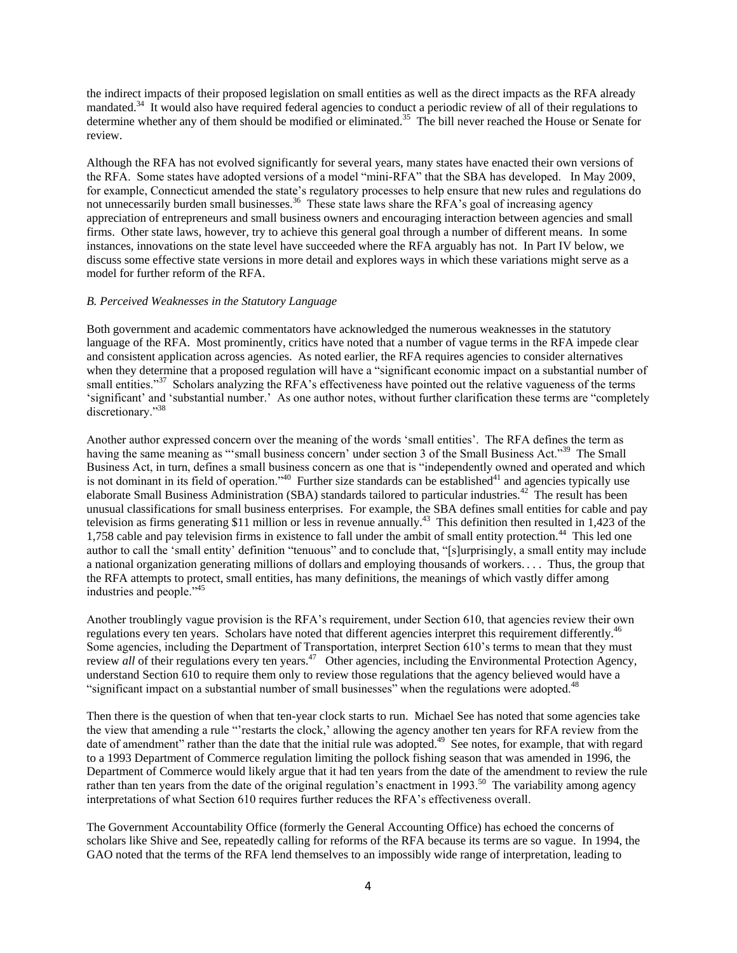the indirect impacts of their proposed legislation on small entities as well as the direct impacts as the RFA already mandated.<sup>34</sup> It would also have required federal agencies to conduct a periodic review of all of their regulations to determine whether any of them should be modified or eliminated.<sup>35</sup> The bill never reached the House or Senate for review.

Although the RFA has not evolved significantly for several years, many states have enacted their own versions of the RFA. Some states have adopted versions of a model "mini-RFA" that the SBA has developed. In May 2009, for example, Connecticut amended the state's regulatory processes to help ensure that new rules and regulations do not unnecessarily burden small businesses.<sup>36</sup> These state laws share the RFA's goal of increasing agency appreciation of entrepreneurs and small business owners and encouraging interaction between agencies and small firms. Other state laws, however, try to achieve this general goal through a number of different means. In some instances, innovations on the state level have succeeded where the RFA arguably has not. In Part IV below, we discuss some effective state versions in more detail and explores ways in which these variations might serve as a model for further reform of the RFA.

# *B. Perceived Weaknesses in the Statutory Language*

Both government and academic commentators have acknowledged the numerous weaknesses in the statutory language of the RFA. Most prominently, critics have noted that a number of vague terms in the RFA impede clear and consistent application across agencies. As noted earlier, the RFA requires agencies to consider alternatives when they determine that a proposed regulation will have a "significant economic impact on a substantial number of small entities."<sup>37</sup> Scholars analyzing the RFA's effectiveness have pointed out the relative vagueness of the terms 'significant' and 'substantial number.' As one author notes, without further clarification these terms are "completely discretionary."<sup>38</sup>

Another author expressed concern over the meaning of the words 'small entities'. The RFA defines the term as having the same meaning as "'small business concern' under section 3 of the Small Business Act."<sup>39</sup> The Small Business Act, in turn, defines a small business concern as one that is "independently owned and operated and which is not dominant in its field of operation.<sup>340</sup> Further size standards can be established<sup>41</sup> and agencies typically use elaborate Small Business Administration (SBA) standards tailored to particular industries.<sup>42</sup> The result has been unusual classifications for small business enterprises. For example, the SBA defines small entities for cable and pay television as firms generating \$11 million or less in revenue annually.<sup>43</sup> This definition then resulted in 1,423 of the 1,758 cable and pay television firms in existence to fall under the ambit of small entity protection.<sup>44</sup> This led one author to call the 'small entity' definition "tenuous" and to conclude that, "[s]urprisingly, a small entity may include a national organization generating millions of dollars and employing thousands of workers. . . . Thus, the group that the RFA attempts to protect, small entities, has many definitions, the meanings of which vastly differ among industries and people."<sup>45</sup>

Another troublingly vague provision is the RFA's requirement, under Section 610, that agencies review their own regulations every ten years. Scholars have noted that different agencies interpret this requirement differently.<sup>46</sup> Some agencies, including the Department of Transportation, interpret Section 610's terms to mean that they must review all of their regulations every ten years.<sup>47</sup> Other agencies, including the Environmental Protection Agency, understand Section 610 to require them only to review those regulations that the agency believed would have a "significant impact on a substantial number of small businesses" when the regulations were adopted.<sup>48</sup>

Then there is the question of when that ten-year clock starts to run. Michael See has noted that some agencies take the view that amending a rule "restarts the clock,' allowing the agency another ten years for RFA review from the date of amendment" rather than the date that the initial rule was adopted.<sup>49</sup> See notes, for example, that with regard to a 1993 Department of Commerce regulation limiting the pollock fishing season that was amended in 1996, the Department of Commerce would likely argue that it had ten years from the date of the amendment to review the rule rather than ten years from the date of the original regulation's enactment in 1993.<sup>50</sup> The variability among agency interpretations of what Section 610 requires further reduces the RFA's effectiveness overall.

The Government Accountability Office (formerly the General Accounting Office) has echoed the concerns of scholars like Shive and See, repeatedly calling for reforms of the RFA because its terms are so vague. In 1994, the GAO noted that the terms of the RFA lend themselves to an impossibly wide range of interpretation, leading to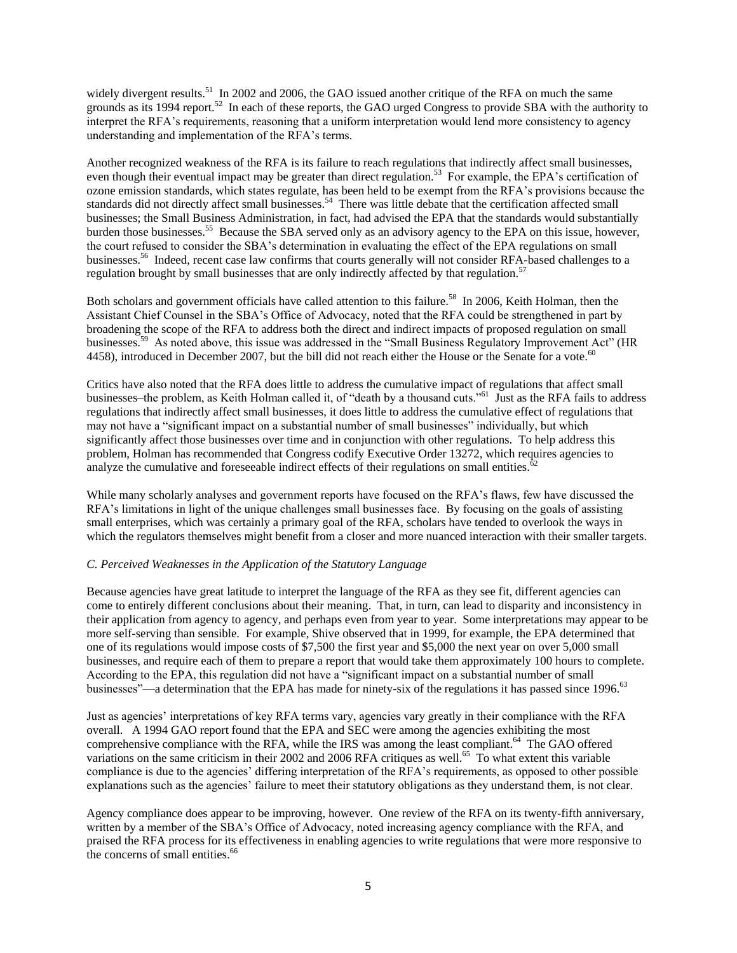widely divergent results.<sup>51</sup> In 2002 and 2006, the GAO issued another critique of the RFA on much the same grounds as its 1994 report.<sup>52</sup> In each of these reports, the GAO urged Congress to provide SBA with the authority to interpret the RFA's requirements, reasoning that a uniform interpretation would lend more consistency to agency understanding and implementation of the RFA's terms.

Another recognized weakness of the RFA is its failure to reach regulations that indirectly affect small businesses, even though their eventual impact may be greater than direct regulation.<sup>53</sup> For example, the EPA's certification of ozone emission standards, which states regulate, has been held to be exempt from the RFA's provisions because the standards did not directly affect small businesses.<sup>54</sup> There was little debate that the certification affected small businesses; the Small Business Administration, in fact, had advised the EPA that the standards would substantially burden those businesses.<sup>55</sup> Because the SBA served only as an advisory agency to the EPA on this issue, however, the court refused to consider the SBA's determination in evaluating the effect of the EPA regulations on small businesses.<sup>56</sup> Indeed, recent case law confirms that courts generally will not consider RFA-based challenges to a regulation brought by small businesses that are only indirectly affected by that regulation.<sup>57</sup>

Both scholars and government officials have called attention to this failure.<sup>58</sup> In 2006, Keith Holman, then the Assistant Chief Counsel in the SBA's Office of Advocacy, noted that the RFA could be strengthened in part by broadening the scope of the RFA to address both the direct and indirect impacts of proposed regulation on small businesses.<sup>59</sup> As noted above, this issue was addressed in the "Small Business Regulatory Improvement Act" (HR 4458), introduced in December 2007, but the bill did not reach either the House or the Senate for a vote.<sup>60</sup>

Critics have also noted that the RFA does little to address the cumulative impact of regulations that affect small businesses–the problem, as Keith Holman called it, of "death by a thousand cuts."<sup>61</sup> Just as the RFA fails to address regulations that indirectly affect small businesses, it does little to address the cumulative effect of regulations that may not have a "significant impact on a substantial number of small businesses" individually, but which significantly affect those businesses over time and in conjunction with other regulations. To help address this problem, Holman has recommended that Congress codify Executive Order 13272, which requires agencies to analyze the cumulative and foreseeable indirect effects of their regulations on small entities.<sup>6</sup>

While many scholarly analyses and government reports have focused on the RFA's flaws, few have discussed the RFA's limitations in light of the unique challenges small businesses face. By focusing on the goals of assisting small enterprises, which was certainly a primary goal of the RFA, scholars have tended to overlook the ways in which the regulators themselves might benefit from a closer and more nuanced interaction with their smaller targets.

# *C. Perceived Weaknesses in the Application of the Statutory Language*

Because agencies have great latitude to interpret the language of the RFA as they see fit, different agencies can come to entirely different conclusions about their meaning. That, in turn, can lead to disparity and inconsistency in their application from agency to agency, and perhaps even from year to year. Some interpretations may appear to be more self-serving than sensible. For example, Shive observed that in 1999, for example, the EPA determined that one of its regulations would impose costs of \$7,500 the first year and \$5,000 the next year on over 5,000 small businesses, and require each of them to prepare a report that would take them approximately 100 hours to complete. According to the EPA, this regulation did not have a "significant impact on a substantial number of small businesses"—a determination that the EPA has made for ninety-six of the regulations it has passed since 1996.<sup>63</sup>

Just as agencies' interpretations of key RFA terms vary, agencies vary greatly in their compliance with the RFA overall. A 1994 GAO report found that the EPA and SEC were among the agencies exhibiting the most comprehensive compliance with the RFA, while the IRS was among the least compliant.<sup>64</sup> The GAO offered variations on the same criticism in their 2002 and 2006 RFA critiques as well.<sup>65</sup> To what extent this variable compliance is due to the agencies' differing interpretation of the RFA's requirements, as opposed to other possible explanations such as the agencies' failure to meet their statutory obligations as they understand them, is not clear.

Agency compliance does appear to be improving, however. One review of the RFA on its twenty-fifth anniversary, written by a member of the SBA's Office of Advocacy, noted increasing agency compliance with the RFA, and praised the RFA process for its effectiveness in enabling agencies to write regulations that were more responsive to the concerns of small entities.<sup>66</sup>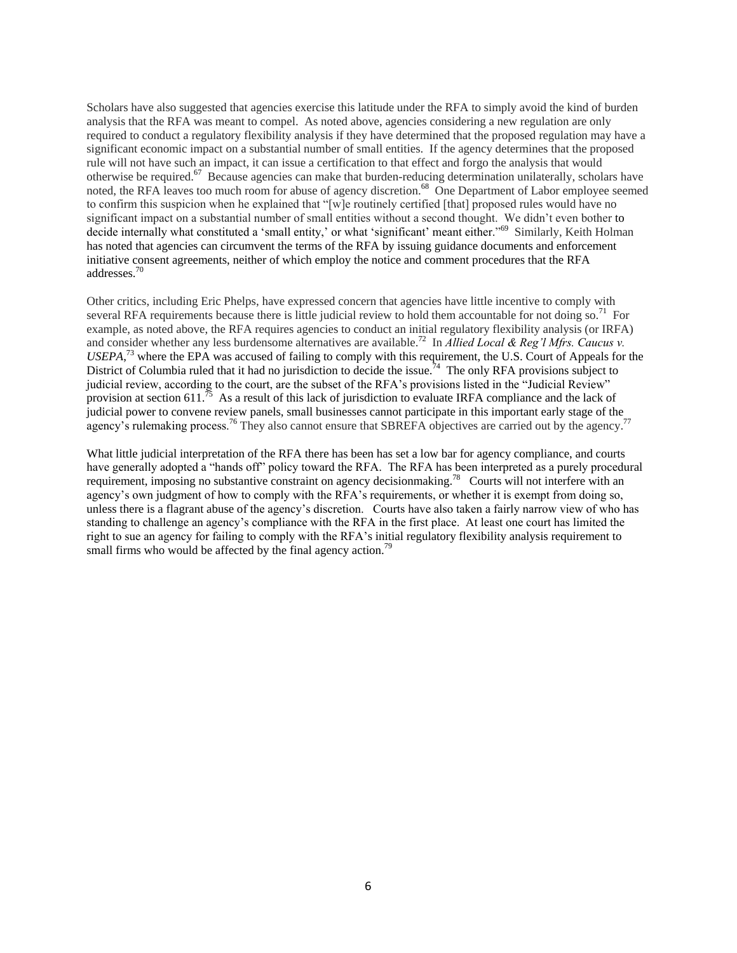Scholars have also suggested that agencies exercise this latitude under the RFA to simply avoid the kind of burden analysis that the RFA was meant to compel. As noted above, agencies considering a new regulation are only required to conduct a regulatory flexibility analysis if they have determined that the proposed regulation may have a significant economic impact on a substantial number of small entities. If the agency determines that the proposed rule will not have such an impact, it can issue a certification to that effect and forgo the analysis that would otherwise be required.<sup>67</sup> Because agencies can make that burden-reducing determination unilaterally, scholars have noted, the RFA leaves too much room for abuse of agency discretion.<sup>68</sup> One Department of Labor employee seemed to confirm this suspicion when he explained that " $[w]$ e routinely certified  $[that]$  proposed rules would have no significant impact on a substantial number of small entities without a second thought. We didn't even bother to decide internally what constituted a 'small entity,' or what 'significant' meant either."<sup>69</sup> Similarly, Keith Holman has noted that agencies can circumvent the terms of the RFA by issuing guidance documents and enforcement initiative consent agreements, neither of which employ the notice and comment procedures that the RFA addresses.<sup>70</sup>

Other critics, including Eric Phelps, have expressed concern that agencies have little incentive to comply with several RFA requirements because there is little judicial review to hold them accountable for not doing so.<sup>71</sup> For example, as noted above, the RFA requires agencies to conduct an initial regulatory flexibility analysis (or IRFA) and consider whether any less burdensome alternatives are available.<sup>72</sup> In *Allied Local & Reg'l Mfrs. Caucus v. USEPA*, <sup>73</sup> where the EPA was accused of failing to comply with this requirement, the U.S. Court of Appeals for the District of Columbia ruled that it had no jurisdiction to decide the issue.<sup>74</sup> The only RFA provisions subject to judicial review, according to the court, are the subset of the RFA's provisions listed in the "Judicial Review" provision at [section](http://www.google.com/url?q=https%3A%2F%2Fa.next.westlaw.com%2FLink%2FDocument%2FFullText%3FfindType%3DL%26pubNum%3D1000546%26cite%3D5USCAS611%26originatingDoc%3DIe4373a91227e11dbbab99dfb880c57ae%26refType%3DLQ%26originationContext%3Ddocument%26transitionType%3DDocumentItem%26contextData%3D(sc.Search)&sa=D&sntz=1&usg=AFQjCNHZLbHVINeXhDSitYgTczT1TaL0Aw) [611.](http://www.google.com/url?q=https%3A%2F%2Fa.next.westlaw.com%2FLink%2FDocument%2FFullText%3FfindType%3DL%26pubNum%3D1000546%26cite%3D5USCAS611%26originatingDoc%3DIe4373a91227e11dbbab99dfb880c57ae%26refType%3DLQ%26originationContext%3Ddocument%26transitionType%3DDocumentItem%26contextData%3D(sc.Search)&sa=D&sntz=1&usg=AFQjCNHZLbHVINeXhDSitYgTczT1TaL0Aw)<sup>75</sup> As a result of this lack of jurisdiction to evaluate IRFA compliance and the lack of judicial power to convene review panels, small businesses cannot participate in this important early stage of the agency's rulemaking process.<sup>76</sup> They also cannot ensure that SBREFA objectives are carried out by the agency.<sup>77</sup>

What little judicial interpretation of the RFA there has been has set a low bar for agency compliance, and courts have generally adopted a "hands off" policy toward the RFA. The RFA has been interpreted as a purely procedural requirement, imposing no substantive constraint on agency decisionmaking.<sup>78</sup> Courts will not interfere with an agency's own judgment of how to comply with the RFA's requirements, or whether it is exempt from doing so, unless there is a flagrant abuse of the agency's discretion. Courts have also taken a fairly narrow view of who has standing to challenge an agency's compliance with the RFA in the first place. At least one court has limited the right to sue an agency for failing to comply with the RFA's initial regulatory flexibility analysis requirement to small firms who would be affected by the final agency action.<sup>79</sup>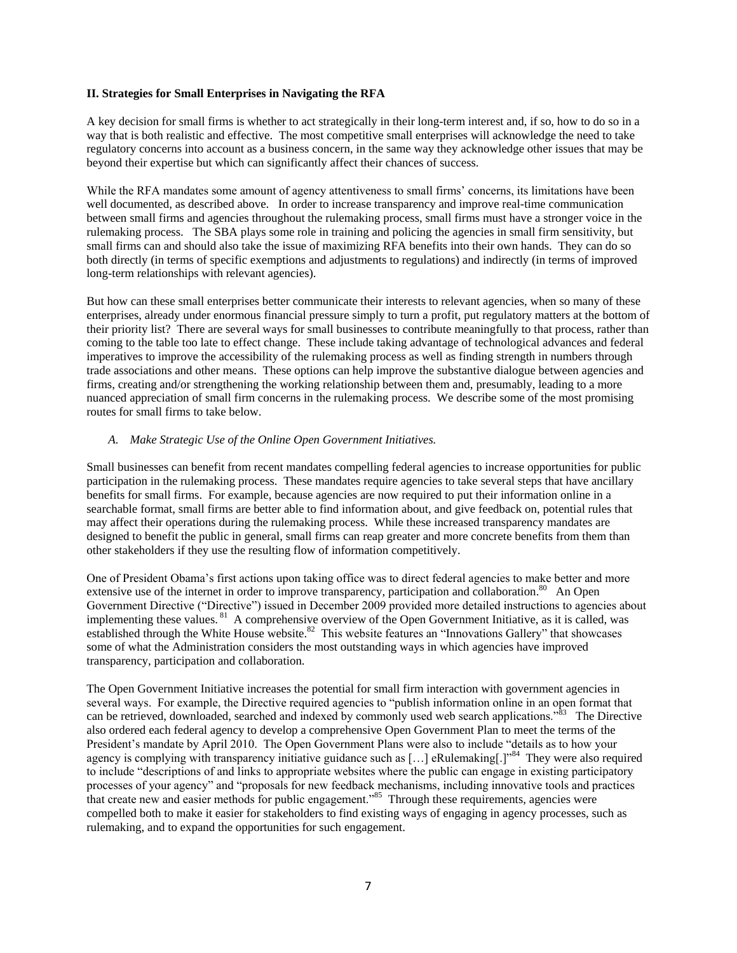# **II. Strategies for Small Enterprises in Navigating the RFA**

A key decision for small firms is whether to act strategically in their long-term interest and, if so, how to do so in a way that is both realistic and effective. The most competitive small enterprises will acknowledge the need to take regulatory concerns into account as a business concern, in the same way they acknowledge other issues that may be beyond their expertise but which can significantly affect their chances of success.

While the RFA mandates some amount of agency attentiveness to small firms' concerns, its limitations have been well documented, as described above. In order to increase transparency and improve real-time communication between small firms and agencies throughout the rulemaking process, small firms must have a stronger voice in the rulemaking process. The SBA plays some role in training and policing the agencies in small firm sensitivity, but small firms can and should also take the issue of maximizing RFA benefits into their own hands. They can do so both directly (in terms of specific exemptions and adjustments to regulations) and indirectly (in terms of improved long-term relationships with relevant agencies).

But how can these small enterprises better communicate their interests to relevant agencies, when so many of these enterprises, already under enormous financial pressure simply to turn a profit, put regulatory matters at the bottom of their priority list? There are several ways for small businesses to contribute meaningfully to that process, rather than coming to the table too late to effect change. These include taking advantage of technological advances and federal imperatives to improve the accessibility of the rulemaking process as well as finding strength in numbers through trade associations and other means. These options can help improve the substantive dialogue between agencies and firms, creating and/or strengthening the working relationship between them and, presumably, leading to a more nuanced appreciation of small firm concerns in the rulemaking process. We describe some of the most promising routes for small firms to take below.

### *A. Make Strategic Use of the Online Open Government Initiatives.*

Small businesses can benefit from recent mandates compelling federal agencies to increase opportunities for public participation in the rulemaking process. These mandates require agencies to take several steps that have ancillary benefits for small firms. For example, because agencies are now required to put their information online in a searchable format, small firms are better able to find information about, and give feedback on, potential rules that may affect their operations during the rulemaking process. While these increased transparency mandates are designed to benefit the public in general, small firms can reap greater and more concrete benefits from them than other stakeholders if they use the resulting flow of information competitively.

One of President Obama's first actions upon taking office was to direct federal agencies to make better and more extensive use of the internet in order to improve transparency, participation and collaboration.<sup>80</sup> An Open Government Directive ("Directive") issued in December 2009 provided more detailed instructions to agencies about implementing these values. <sup>81</sup> A comprehensive overview of the Open Government Initiative, as it is called, was established through the White House website.<sup>82</sup> This website features an "Innovations Gallery" that showcases some of what the Administration considers the most outstanding ways in which agencies have improved transparency, participation and collaboration.

The Open Government Initiative increases the potential for small firm interaction with government agencies in several ways. For example, the Directive required agencies to "publish information online in an open format that can be retrieved, downloaded, searched and indexed by commonly used web search applications."<sup>83</sup> The Directive also ordered each federal agency to develop a comprehensive Open Government Plan to meet the terms of the President's mandate by April 2010. The Open Government Plans were also to include "details as to how your agency is complying with transparency initiative guidance such as [...] eRulemaking[.]<sup>984</sup> They were also required to include "descriptions of and links to appropriate websites where the public can engage in existing participatory processes of your agency" and "proposals for new feedback mechanisms, including innovative tools and practices that create new and easier methods for public engagement."<sup>85</sup> Through these requirements, agencies were compelled both to make it easier for stakeholders to find existing ways of engaging in agency processes, such as rulemaking, and to expand the opportunities for such engagement.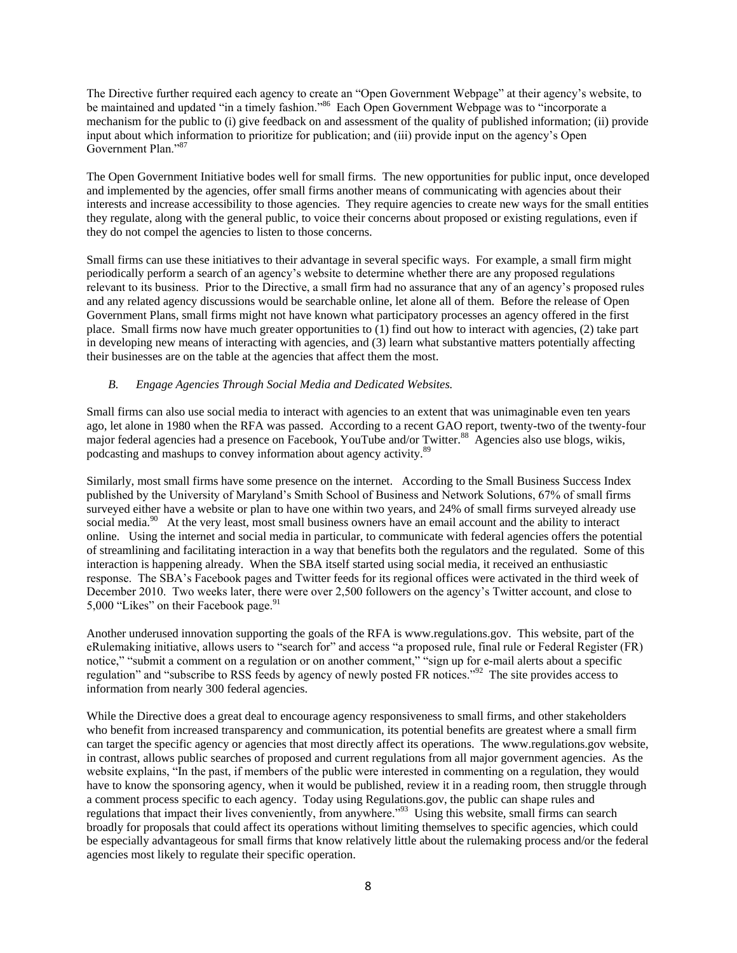The Directive further required each agency to create an "Open Government Webpage" at their agency's website, to be maintained and updated "in a timely fashion."<sup>86</sup> Each Open Government Webpage was to "incorporate a mechanism for the public to (i) give feedback on and assessment of the quality of published information; (ii) provide input about which information to prioritize for publication; and (iii) provide input on the agency's Open Government Plan."<sup>87</sup>

The Open Government Initiative bodes well for small firms. The new opportunities for public input, once developed and implemented by the agencies, offer small firms another means of communicating with agencies about their interests and increase accessibility to those agencies. They require agencies to create new ways for the small entities they regulate, along with the general public, to voice their concerns about proposed or existing regulations, even if they do not compel the agencies to listen to those concerns.

Small firms can use these initiatives to their advantage in several specific ways. For example, a small firm might periodically perform a search of an agency's website to determine whether there are any proposed regulations relevant to its business. Prior to the Directive, a small firm had no assurance that any of an agency's proposed rules and any related agency discussions would be searchable online, let alone all of them. Before the release of Open Government Plans, small firms might not have known what participatory processes an agency offered in the first place. Small firms now have much greater opportunities to (1) find out how to interact with agencies, (2) take part in developing new means of interacting with agencies, and (3) learn what substantive matters potentially affecting their businesses are on the table at the agencies that affect them the most.

# *B. Engage Agencies Through Social Media and Dedicated Websites.*

Small firms can also use social media to interact with agencies to an extent that was unimaginable even ten years ago, let alone in 1980 when the RFA was passed. According to a recent GAO report, twenty-two of the twenty-four major federal agencies had a presence on Facebook, YouTube and/or Twitter.<sup>88</sup> Agencies also use blogs, wikis, podcasting and mashups to convey information about agency activity.<sup>89</sup>

Similarly, most small firms have some presence on the internet. According to the Small Business Success Index published by the University of Maryland's Smith School of Business and Network Solutions, 67% of small firms surveyed either have a website or plan to have one within two years, and 24% of small firms surveyed already use social media.<sup>90</sup> At the very least, most small business owners have an email account and the ability to interact online. Using the internet and social media in particular, to communicate with federal agencies offers the potential of streamlining and facilitating interaction in a way that benefits both the regulators and the regulated. Some of this interaction is happening already. When the SBA itself started using social media, it received an enthusiastic response. The SBA's Facebook pages and Twitter feeds for its regional offices were activated in the third week of December 2010. Two weeks later, there were over 2,500 followers on the agency's Twitter account, and close to 5,000 "Likes" on their Facebook page.<sup>91</sup>

Another underused innovation supporting the goals of the RFA is www.regulations.gov. This website, part of the eRulemaking initiative, allows users to "search for" and access "a proposed rule, final rule or Federal Register (FR) notice," "submit a comment on a regulation or on another comment," "sign up for e-mail alerts about a specific regulation" and "subscribe to RSS feeds by agency of newly posted FR notices."<sup>92</sup> The site provides access to information from nearly 300 federal agencies.

While the Directive does a great deal to encourage agency responsiveness to small firms, and other stakeholders who benefit from increased transparency and communication, its potential benefits are greatest where a small firm can target the specific agency or agencies that most directly affect its operations. The www.regulations.gov website, in contrast, allows public searches of proposed and current regulations from all major government agencies. As the website explains, "In the past, if members of the public were interested in commenting on a regulation, they would have to know the sponsoring agency, when it would be published, review it in a reading room, then struggle through a comment process specific to each agency. Today using Regulations.gov, the public can shape rules and regulations that impact their lives conveniently, from anywhere."<sup>93</sup> Using this website, small firms can search broadly for proposals that could affect its operations without limiting themselves to specific agencies, which could be especially advantageous for small firms that know relatively little about the rulemaking process and/or the federal agencies most likely to regulate their specific operation.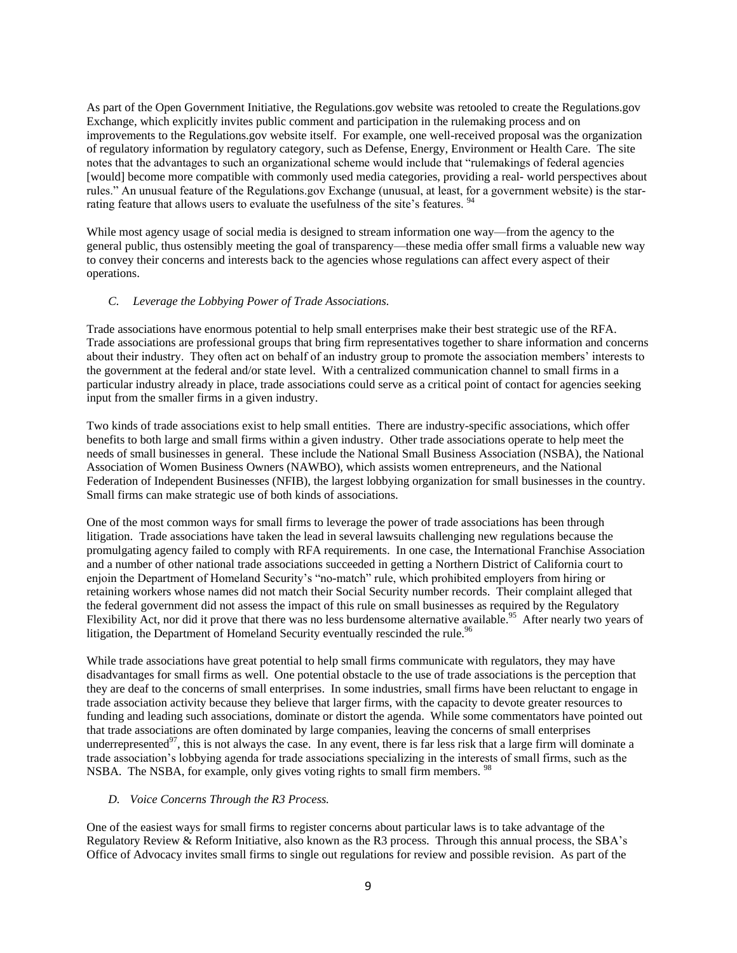As part of the Open Government Initiative, the Regulations.gov website was retooled to create the Regulations.gov Exchange, which explicitly invites public comment and participation in the rulemaking process and on improvements to the Regulations.gov website itself. For example, one well-received proposal was the organization of regulatory information by regulatory category, such as Defense, Energy, Environment or Health Care. The site notes that the advantages to such an organizational scheme would include that "rulemakings of federal agencies" [would] become more compatible with commonly used media categories, providing a real- world perspectives about rules.‖ An unusual feature of the Regulations.gov Exchange (unusual, at least, for a government website) is the starrating feature that allows users to evaluate the usefulness of the site's features.

While most agency usage of social media is designed to stream information one way—from the agency to the general public, thus ostensibly meeting the goal of transparency—these media offer small firms a valuable new way to convey their concerns and interests back to the agencies whose regulations can affect every aspect of their operations.

# *C. Leverage the Lobbying Power of Trade Associations.*

Trade associations have enormous potential to help small enterprises make their best strategic use of the RFA. Trade associations are professional groups that bring firm representatives together to share information and concerns about their industry. They often act on behalf of an industry group to promote the association members' interests to the government at the federal and/or state level. With a centralized communication channel to small firms in a particular industry already in place, trade associations could serve as a critical point of contact for agencies seeking input from the smaller firms in a given industry.

Two kinds of trade associations exist to help small entities. There are industry-specific associations, which offer benefits to both large and small firms within a given industry. Other trade associations operate to help meet the needs of small businesses in general. These include the National Small Business Association (NSBA), the National Association of Women Business Owners (NAWBO), which assists women entrepreneurs, and the National Federation of Independent Businesses (NFIB), the largest lobbying organization for small businesses in the country. Small firms can make strategic use of both kinds of associations.

One of the most common ways for small firms to leverage the power of trade associations has been through litigation. Trade associations have taken the lead in several lawsuits challenging new regulations because the promulgating agency failed to comply with RFA requirements. In one case, the International Franchise Association and a number of other national trade associations succeeded in getting a Northern District of California court to enjoin the Department of Homeland Security's "no-match" rule, which prohibited employers from hiring or retaining workers whose names did not match their Social Security number records. Their complaint alleged that the federal government did not assess the impact of this rule on small businesses as required by the Regulatory Flexibility Act, nor did it prove that there was no less burdensome alternative available.<sup>95</sup> After nearly two years of litigation, the Department of Homeland Security eventually rescinded the rule.<sup>96</sup>

While trade associations have great potential to help small firms communicate with regulators, they may have disadvantages for small firms as well. One potential obstacle to the use of trade associations is the perception that they are deaf to the concerns of small enterprises. In some industries, small firms have been reluctant to engage in trade association activity because they believe that larger firms, with the capacity to devote greater resources to funding and leading such associations, dominate or distort the agenda. While some commentators have pointed out that trade associations are often dominated by large companies, leaving the concerns of small enterprises underrepresented $97$ , this is not always the case. In any event, there is far less risk that a large firm will dominate a trade association's lobbying agenda for trade associations specializing in the interests of small firms, such as the NSBA. The NSBA, for example, only gives voting rights to small firm members. <sup>98</sup>

# *D. Voice Concerns Through the R3 Process.*

One of the easiest ways for small firms to register concerns about particular laws is to take advantage of the Regulatory Review & Reform Initiative, also known as the R3 process. Through this annual process, the SBA's Office of Advocacy invites small firms to single out regulations for review and possible revision. As part of the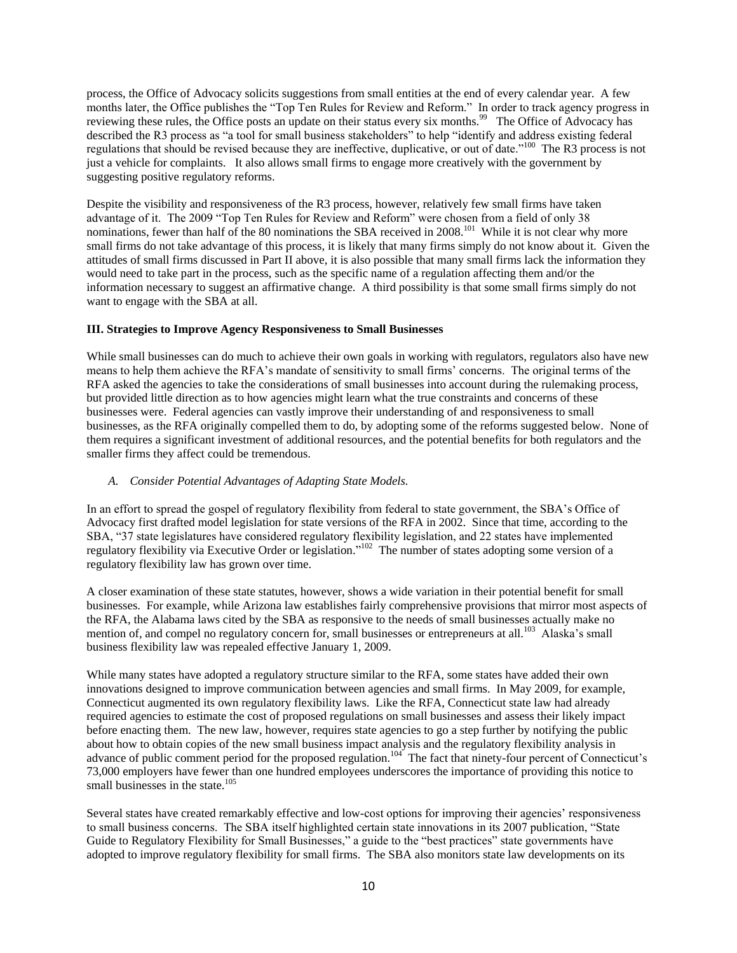process, the Office of Advocacy solicits suggestions from small entities at the end of every calendar year. A few months later, the Office publishes the "Top Ten Rules for Review and Reform." In order to track agency progress in reviewing these rules, the Office posts an update on their status every six months.<sup>99</sup> The Office of Advocacy has described the R3 process as "a tool for small business stakeholders" to help "identify and address existing federal regulations that should be revised because they are ineffective, duplicative, or out of date."<sup>100</sup> The R3 process is not just a vehicle for complaints. It also allows small firms to engage more creatively with the government by suggesting positive regulatory reforms.

Despite the visibility and responsiveness of the R3 process, however, relatively few small firms have taken advantage of it. The 2009 "Top Ten Rules for Review and Reform" were chosen from a field of only 38 nominations, fewer than half of the 80 nominations the SBA received in 2008.<sup>101</sup> While it is not clear why more small firms do not take advantage of this process, it is likely that many firms simply do not know about it. Given the attitudes of small firms discussed in Part II above, it is also possible that many small firms lack the information they would need to take part in the process, such as the specific name of a regulation affecting them and/or the information necessary to suggest an affirmative change. A third possibility is that some small firms simply do not want to engage with the SBA at all.

# **III. Strategies to Improve Agency Responsiveness to Small Businesses**

While small businesses can do much to achieve their own goals in working with regulators, regulators also have new means to help them achieve the RFA's mandate of sensitivity to small firms' concerns. The original terms of the RFA asked the agencies to take the considerations of small businesses into account during the rulemaking process, but provided little direction as to how agencies might learn what the true constraints and concerns of these businesses were. Federal agencies can vastly improve their understanding of and responsiveness to small businesses, as the RFA originally compelled them to do, by adopting some of the reforms suggested below. None of them requires a significant investment of additional resources, and the potential benefits for both regulators and the smaller firms they affect could be tremendous.

# *A. Consider Potential Advantages of Adapting State Models.*

In an effort to spread the gospel of regulatory flexibility from federal to state government, the SBA's Office of Advocacy first drafted model legislation for state versions of the RFA in 2002. Since that time, according to the SBA, "37 state legislatures have considered regulatory flexibility legislation, and 22 states have implemented regulatory flexibility via Executive Order or legislation."<sup>102</sup> The number of states adopting some version of a regulatory flexibility law has grown over time.

A closer examination of these state statutes, however, shows a wide variation in their potential benefit for small businesses. For example, while Arizona law establishes fairly comprehensive provisions that mirror most aspects of the RFA, the Alabama laws cited by the SBA as responsive to the needs of small businesses actually make no mention of, and compel no regulatory concern for, small businesses or entrepreneurs at all.<sup>103</sup> Alaska's small business flexibility law was repealed effective January 1, 2009.

While many states have adopted a regulatory structure similar to the RFA, some states have added their own innovations designed to improve communication between agencies and small firms. In May 2009, for example, Connecticut augmented its own regulatory flexibility laws. Like the RFA, Connecticut state law had already required agencies to estimate the cost of proposed regulations on small businesses and assess their likely impact before enacting them. The new law, however, requires state agencies to go a step further by notifying the public about how to obtain copies of the new small business impact analysis and the regulatory flexibility analysis in advance of public comment period for the proposed regulation.<sup>104</sup> The fact that ninety-four percent of Connecticut's 73,000 employers have fewer than one hundred employees underscores the importance of providing this notice to small businesses in the state. $105$ 

Several states have created remarkably effective and low-cost options for improving their agencies' responsiveness to small business concerns. The SBA itself highlighted certain state innovations in its 2007 publication, "State Guide to Regulatory Flexibility for Small Businesses," a guide to the "best practices" state governments have adopted to improve regulatory flexibility for small firms. The SBA also monitors state law developments on its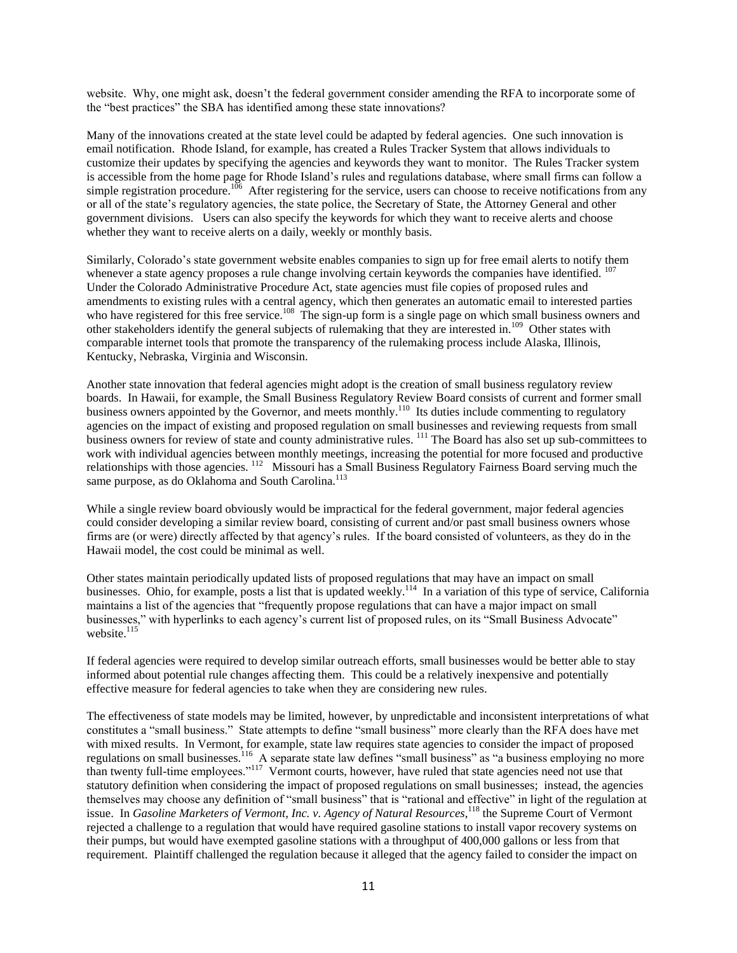website. Why, one might ask, doesn't the federal government consider amending the RFA to incorporate some of the "best practices" the SBA has identified among these state innovations?

Many of the innovations created at the state level could be adapted by federal agencies. One such innovation is email notification. Rhode Island, for example, has created a Rules Tracker System that allows individuals to customize their updates by specifying the agencies and keywords they want to monitor. The Rules Tracker system is accessible from the home page for Rhode Island's rules and regulations database, where small firms can follow a simple registration procedure.<sup>106</sup> After registering for the service, users can choose to receive notifications from any or all of the state's regulatory agencies, the state police, the Secretary of State, the Attorney General and other government divisions. Users can also specify the keywords for which they want to receive alerts and choose whether they want to receive alerts on a daily, weekly or monthly basis.

Similarly, Colorado's state government website enables companies to sign up for free email alerts to notify them whenever a state agency proposes a rule change involving certain keywords the companies have identified. <sup>107</sup> Under the Colorado Administrative Procedure Act, state agencies must file copies of proposed rules and amendments to existing rules with a central agency, which then generates an automatic email to interested parties who have registered for this free service.<sup>108</sup> The sign-up form is a single page on which small business owners and other stakeholders identify the general subjects of rulemaking that they are interested in.<sup>109</sup> Other states with comparable internet tools that promote the transparency of the rulemaking process include Alaska, Illinois, Kentucky, Nebraska, Virginia and Wisconsin.

Another state innovation that federal agencies might adopt is the creation of small business regulatory review boards. In Hawaii, for example, the Small Business Regulatory Review Board consists of current and former small business owners appointed by the Governor, and meets monthly.<sup>110</sup> Its duties include commenting to regulatory agencies on the impact of existing and proposed regulation on small businesses and reviewing requests from small business owners for review of state and county administrative rules. <sup>111</sup> The Board has also set up sub-committees to work with individual agencies between monthly meetings, increasing the potential for more focused and productive relationships with those agencies. <sup>112</sup> Missouri has a Small Business Regulatory Fairness Board serving much the same purpose, as do Oklahoma and South Carolina.<sup>113</sup>

While a single review board obviously would be impractical for the federal government, major federal agencies could consider developing a similar review board, consisting of current and/or past small business owners whose firms are (or were) directly affected by that agency's rules. If the board consisted of volunteers, as they do in the Hawaii model, the cost could be minimal as well.

Other states maintain periodically updated lists of proposed regulations that may have an impact on small businesses. Ohio, for example, posts a list that is updated weekly.<sup>114</sup> In a variation of this type of service, California maintains a list of the agencies that "frequently propose regulations that can have a major impact on small businesses," with hyperlinks to each agency's current list of proposed rules, on its "Small Business Advocate" website. $115$ 

If federal agencies were required to develop similar outreach efforts, small businesses would be better able to stay informed about potential rule changes affecting them. This could be a relatively inexpensive and potentially effective measure for federal agencies to take when they are considering new rules.

The effectiveness of state models may be limited, however, by unpredictable and inconsistent interpretations of what constitutes a "small business." State attempts to define "small business" more clearly than the RFA does have met with mixed results. In Vermont, for example, state law requires state agencies to consider the impact of proposed regulations on small businesses.<sup>116</sup> A separate state law defines "small business" as "a business employing no more than twenty full-time employees."<sup>117</sup> Vermont courts, however, have ruled that state agencies need not use that statutory definition when considering the impact of proposed regulations on small businesses; instead, the agencies themselves may choose any definition of "small business" that is "rational and effective" in light of the regulation at issue. In *Gasoline Marketers of Vermont, Inc. v. Agency of Natural Resources*, <sup>118</sup> the Supreme Court of Vermont rejected a challenge to a regulation that would have required gasoline stations to install vapor recovery systems on their pumps, but would have exempted gasoline stations with a throughput of 400,000 gallons or less from that requirement. Plaintiff challenged the regulation because it alleged that the agency failed to consider the impact on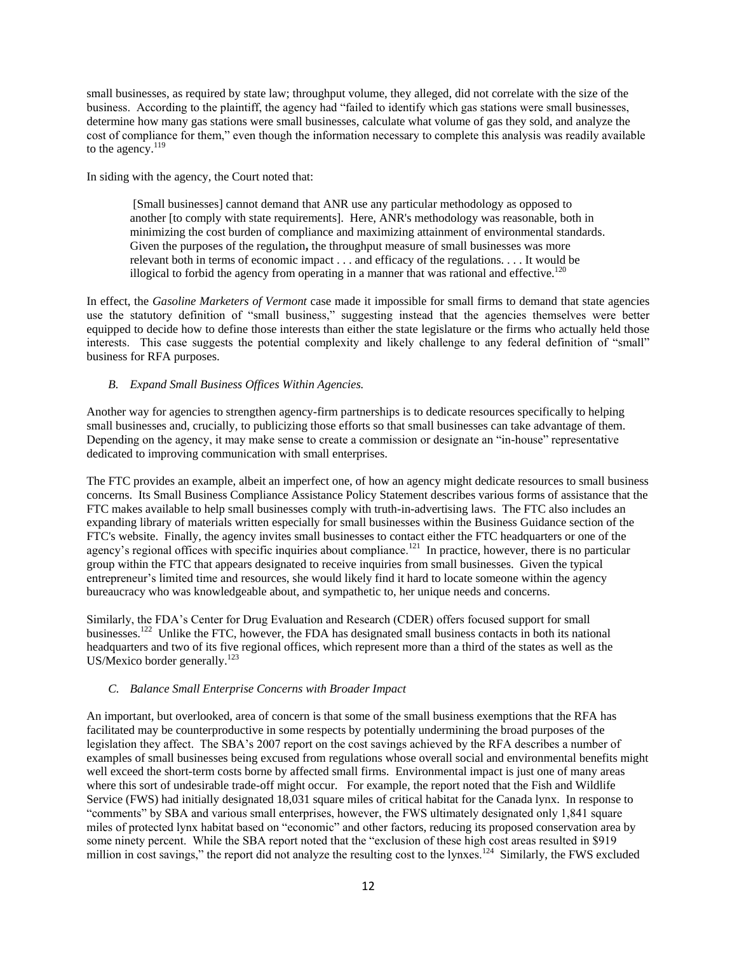small businesses, as required by state law; throughput volume, they alleged, did not correlate with the size of the business. According to the plaintiff, the agency had "failed to identify which gas stations were small businesses, determine how many gas stations were small businesses, calculate what volume of gas they sold, and analyze the cost of compliance for them," even though the information necessary to complete this analysis was readily available to the agency. $119$ 

In siding with the agency, the Court noted that:

[Small businesses] cannot demand that ANR use any particular methodology as opposed to another [to comply with state requirements]. Here, ANR's methodology was reasonable, both in minimizing the cost burden of compliance and maximizing attainment of environmental standards. Given the purposes of the regulation**,** the throughput measure of small businesses was more relevant both in terms of economic impact . . . and efficacy of the regulations. . . . It would be illogical to forbid the agency from operating in a manner that was rational and effective.<sup>120</sup>

In effect, the *Gasoline Marketers of Vermont* case made it impossible for small firms to demand that state agencies use the statutory definition of "small business," suggesting instead that the agencies themselves were better equipped to decide how to define those interests than either the state legislature or the firms who actually held those interests. This case suggests the potential complexity and likely challenge to any federal definition of "small" business for RFA purposes.

# *B. Expand Small Business Offices Within Agencies.*

Another way for agencies to strengthen agency-firm partnerships is to dedicate resources specifically to helping small businesses and, crucially, to publicizing those efforts so that small businesses can take advantage of them. Depending on the agency, it may make sense to create a commission or designate an "in-house" representative dedicated to improving communication with small enterprises.

The FTC provides an example, albeit an imperfect one, of how an agency might dedicate resources to small business concerns. Its Small Business Compliance Assistance Policy Statement describes various forms of assistance that the FTC makes available to help small businesses comply with truth-in-advertising laws. The FTC also includes an expanding library of materials written especially for small businesses within the Business Guidance section of the FTC's website. Finally, the agency invites small businesses to contact either the FTC headquarters or one of the agency's regional offices with specific inquiries about compliance.<sup>121</sup> In practice, however, there is no particular group within the FTC that appears designated to receive inquiries from small businesses. Given the typical entrepreneur's limited time and resources, she would likely find it hard to locate someone within the agency bureaucracy who was knowledgeable about, and sympathetic to, her unique needs and concerns.

Similarly, the FDA's Center for Drug Evaluation and Research (CDER) offers focused support for small businesses.<sup>122</sup> Unlike the FTC, however, the FDA has designated small business contacts in both its national headquarters and two of its five regional offices, which represent more than a third of the states as well as the US/Mexico border generally. $^{123}$ 

# *C. Balance Small Enterprise Concerns with Broader Impact*

An important, but overlooked, area of concern is that some of the small business exemptions that the RFA has facilitated may be counterproductive in some respects by potentially undermining the broad purposes of the legislation they affect. The SBA's 2007 report on the cost savings achieved by the RFA describes a number of examples of small businesses being excused from regulations whose overall social and environmental benefits might well exceed the short-term costs borne by affected small firms. Environmental impact is just one of many areas where this sort of undesirable trade-off might occur. For example, the report noted that the Fish and Wildlife Service (FWS) had initially designated 18,031 square miles of critical habitat for the Canada lynx. In response to ―comments‖ by SBA and various small enterprises, however, the FWS ultimately designated only 1,841 square miles of protected lynx habitat based on "economic" and other factors, reducing its proposed conservation area by some ninety percent. While the SBA report noted that the "exclusion of these high cost areas resulted in \$919 million in cost savings," the report did not analyze the resulting cost to the lynxes.<sup>124</sup> Similarly, the FWS excluded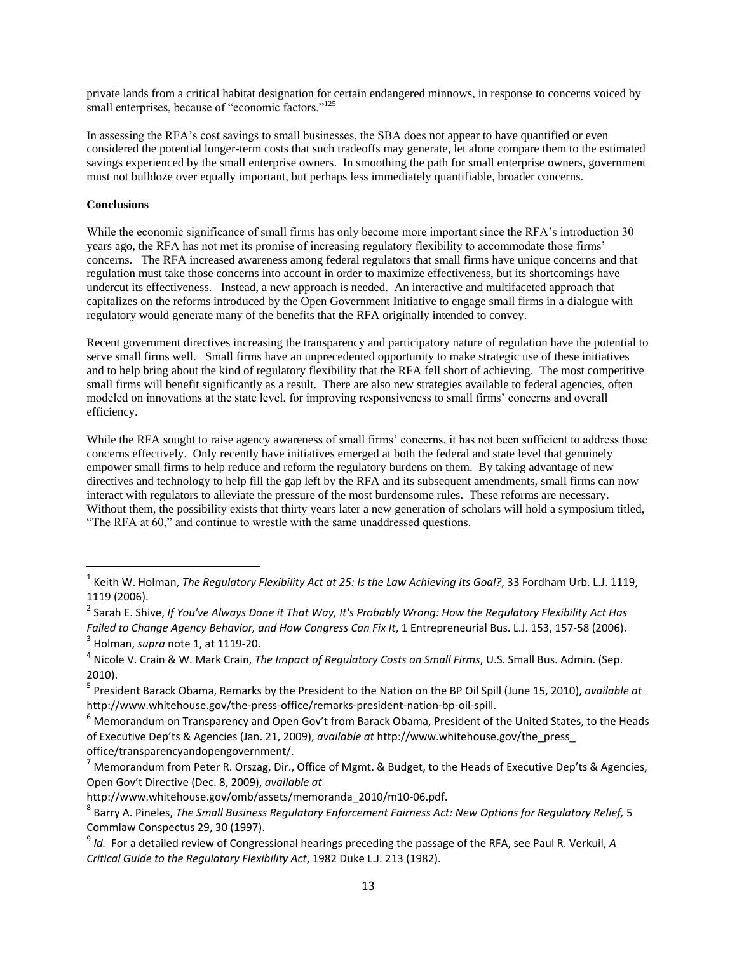private lands from a critical habitat designation for certain endangered minnows, in response to concerns voiced by small enterprises, because of "economic factors."<sup>125</sup>

In assessing the RFA's cost savings to small businesses, the SBA does not appear to have quantified or even considered the potential longer-term costs that such tradeoffs may generate, let alone compare them to the estimated savings experienced by the small enterprise owners. In smoothing the path for small enterprise owners, government must not bulldoze over equally important, but perhaps less immediately quantifiable, broader concerns.

# **Conclusions**

 $\overline{\phantom{a}}$ 

While the economic significance of small firms has only become more important since the RFA's introduction 30 years ago, the RFA has not met its promise of increasing regulatory flexibility to accommodate those firms' concerns. The RFA increased awareness among federal regulators that small firms have unique concerns and that regulation must take those concerns into account in order to maximize effectiveness, but its shortcomings have undercut its effectiveness. Instead, a new approach is needed. An interactive and multifaceted approach that capitalizes on the reforms introduced by the Open Government Initiative to engage small firms in a dialogue with regulatory would generate many of the benefits that the RFA originally intended to convey.

Recent government directives increasing the transparency and participatory nature of regulation have the potential to serve small firms well. Small firms have an unprecedented opportunity to make strategic use of these initiatives and to help bring about the kind of regulatory flexibility that the RFA fell short of achieving. The most competitive small firms will benefit significantly as a result. There are also new strategies available to federal agencies, often modeled on innovations at the state level, for improving responsiveness to small firms' concerns and overall efficiency.

While the RFA sought to raise agency awareness of small firms' concerns, it has not been sufficient to address those concerns effectively. Only recently have initiatives emerged at both the federal and state level that genuinely empower small firms to help reduce and reform the regulatory burdens on them. By taking advantage of new directives and technology to help fill the gap left by the RFA and its subsequent amendments, small firms can now interact with regulators to alleviate the pressure of the most burdensome rules. These reforms are necessary. Without them, the possibility exists that thirty years later a new generation of scholars will hold a symposium titled, "The RFA at 60," and continue to wrestle with the same unaddressed questions.

<sup>1</sup> Keith W. Holman, *The Regulatory Flexibility Act at 25: Is the Law Achieving Its Goal?*, 33 Fordham Urb. L.J. 1119, 1119 (2006).

<sup>2</sup> Sarah E. Shive, *If You've Always Done it That Way, It's Probably Wrong: How the Regulatory Flexibility Act Has Failed to Change Agency Behavior, and How Congress Can Fix It*, 1 Entrepreneurial Bus. L.J. 153, 157-58 (2006). 3 Holman, *supra* note 1, at 1119-20.

<sup>4</sup> Nicole V. Crain & W. Mark Crain, *The Impact of Regulatory Costs on Small Firms*, U.S. Small Bus. Admin. (Sep. 2010).

<sup>5</sup> President Barack Obama, Remarks by the President to the Nation on the BP Oil Spill (June 15, 2010), *available at* http://www.whitehouse.gov/the-press-office/remarks-president-nation-bp-oil-spill.

<sup>6</sup> Memorandum on Transparency and Open Gov't from Barack Obama, President of the United States, to the Heads of Executive Dep'ts & Agencies (Jan. 21, 2009), *available at* http://www.whitehouse.gov/the\_press\_ office/transparencyandopengovernment/.

<sup>&</sup>lt;sup>7</sup> Memorandum from Peter R. Orszag, Dir., Office of Mgmt. & Budget, to the Heads of Executive Dep'ts & Agencies, Open Gov't Directive (Dec. 8, 2009), *available at*

http://www.whitehouse.gov/omb/assets/memoranda\_2010/m10-06.pdf.

<sup>8</sup> Barry A. Pineles, *The Small Business Regulatory Enforcement Fairness Act: New Options for Regulatory Relief,* 5 Commlaw Conspectus 29, 30 (1997).

<sup>9</sup> *Id.* For a detailed review of Congressional hearings preceding the passage of the RFA, see Paul R. Verkuil, *A Critical Guide to the Regulatory Flexibility Act*, 1982 Duke L.J. 213 (1982).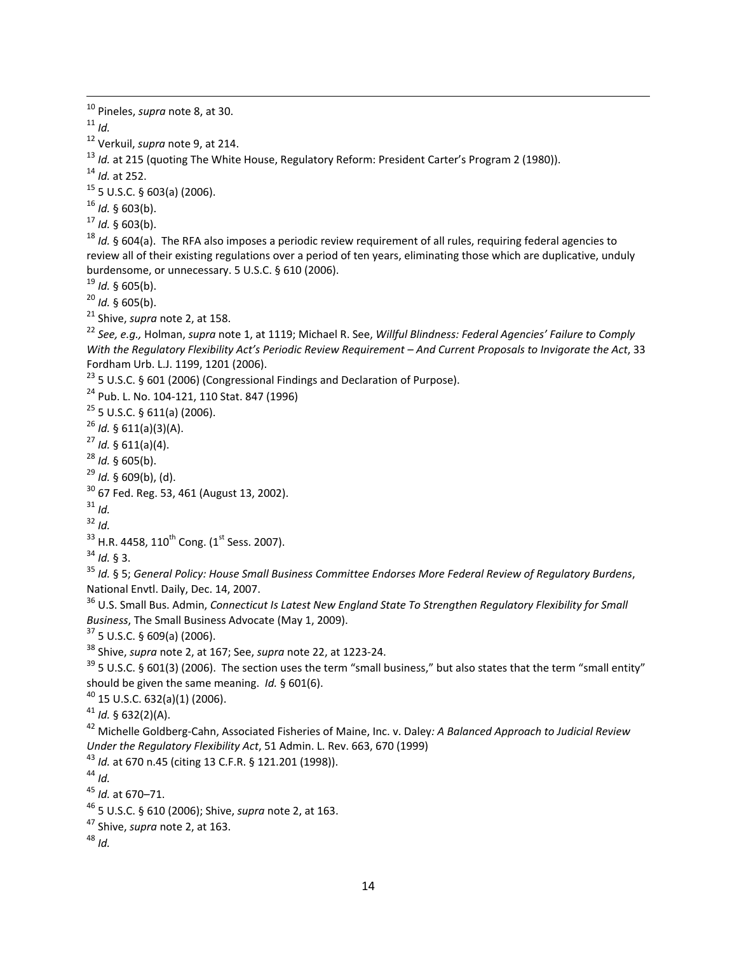*Id.*

 $\overline{a}$ 

Verkuil, *supra* note 9, at 214.

<sup>13</sup> *Id.* at 215 (quoting The White House, Regulatory Reform: President Carter's Program 2 (1980)).

*Id.* at 252.

5 U.S.C. § 603(a) (2006).

*Id.* § 603(b).

*Id.* § 603(b).

 *Id.* § 604(a). The RFA also imposes a periodic review requirement of all rules, requiring federal agencies to review all of their existing regulations over a period of ten years, eliminating those which are duplicative, unduly burdensome, or unnecessary. 5 U.S.C. § 610 (2006).

*Id.* § 605(b).

 $^{20}$  *Id.* § 605(b).

Shive, *supra* note 2, at 158.

 *See, e.g.,* Holman, *supra* note 1, at 1119; Michael R. See, *Willful Blindness: Federal Agencies' Failure to Comply With the Regulatory Flexibility Act's Periodic Review Requirement – And Current Proposals to Invigorate the Act*, 33 Fordham Urb. L.J. 1199, 1201 (2006).

<sup>23</sup> 5 U.S.C. § 601 (2006) (Congressional Findings and Declaration of Purpose).

Pub. L. No. 104-121, 110 Stat. 847 (1996)

5 U.S.C. § 611(a) (2006).

*Id.* § 611(a)(3)(A).

*Id.* § 611(a)(4).

*Id.* § 605(b).

*Id.* § 609(b), (d).

67 Fed. Reg. 53, 461 (August 13, 2002).

*Id.* 

*Id.* 

H.R. 4458, 110<sup>th</sup> Cong. (1<sup>st</sup> Sess. 2007).

*Id.* § 3.

 *Id.* § 5; *General Policy: House Small Business Committee Endorses More Federal Review of Regulatory Burdens*, National Envtl. Daily, Dec. 14, 2007.

 U.S. Small Bus. Admin, *Connecticut Is Latest New England State To Strengthen Regulatory Flexibility for Small Business*, The Small Business Advocate (May 1, 2009).

5 U.S.C. § 609(a) (2006).

Shive, *supra* note 2, at 167; See, *supra* note 22, at 1223-24.

 5 U.S.C. § 601(3) (2006). The section uses the term "small business," but also states that the term "small entity" should be given the same meaning. *Id.* § 601(6).

15 U.S.C. 632(a)(1) (2006).

*Id.* § 632(2)(A).

 Michelle Goldberg-Cahn, Associated Fisheries of Maine, Inc. v. Daley*: A Balanced Approach to Judicial Review Under the Regulatory Flexibility Act*, 51 Admin. L. Rev. 663, 670 (1999)

*Id.* at 670 n.45 (citing 13 C.F.R. § 121.201 (1998)).

*Id.*

*Id.* at 670–71.

5 U.S.C. § 610 (2006); Shive, *supra* note 2, at 163.

Shive, *supra* note 2, at 163.

*Id.*

Pineles, *supra* note 8, at 30.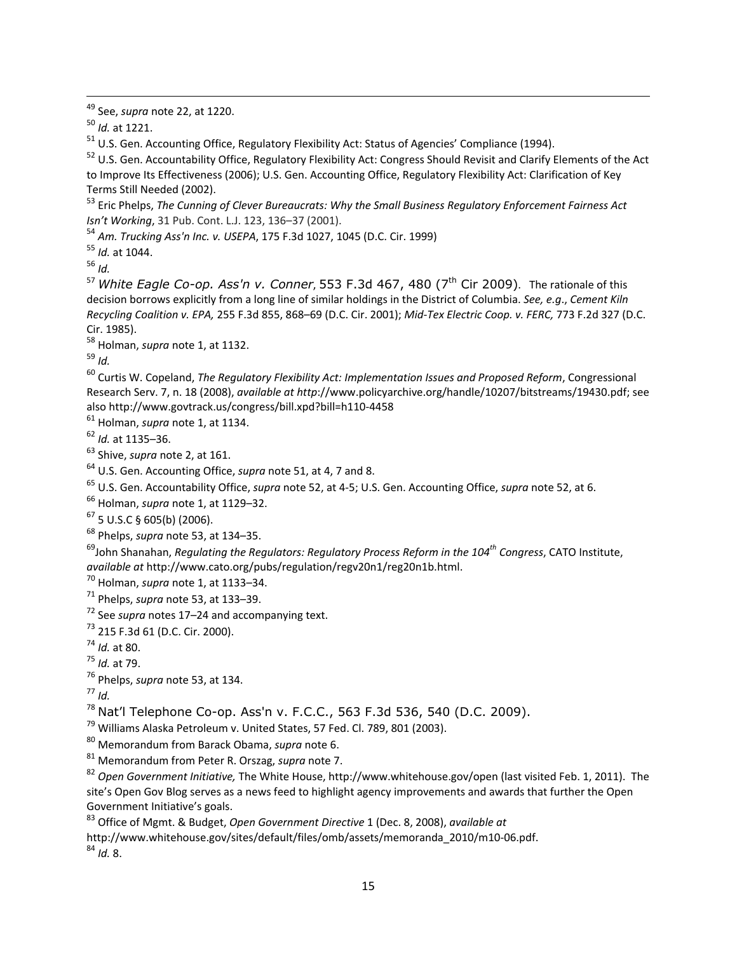See, *supra* note 22, at 1220.

*Id.* at 1221.

 $\overline{a}$ 

<sup>51</sup> U.S. Gen. Accounting Office, Regulatory Flexibility Act: Status of Agencies' Compliance (1994).

<sup>52</sup> U.S. Gen. Accountability Office, Regulatory Flexibility Act: Congress Should Revisit and Clarify Elements of the Act to Improve Its Effectiveness (2006); U.S. Gen. Accounting Office, Regulatory Flexibility Act: Clarification of Key Terms Still Needed (2002).

 Eric Phelps, *The Cunning of Clever Bureaucrats: Why the Small Business Regulatory Enforcement Fairness Act Isn't Working*, 31 Pub. Cont. L.J. 123, 136–37 (2001).

*[Am. Trucking](http://www.google.com/url?q=https%3A%2F%2Fa.next.westlaw.com%2FLink%2FDocument%2FFullText%3FfindType%3DY%26serNum%3D1999113036%26pubNum%3D506%26originationContext%3Ddocument%26transitionType%3DDocumentItem%26contextData%3D(sc.Search)%23co_pp_sp_506_1045&sa=D&sntz=1&usg=AFQjCNGPHb4PhRQ1GnIxYtlAQGsyCoXaZg) [Ass'n](http://www.google.com/url?q=https%3A%2F%2Fa.next.westlaw.com%2FLink%2FDocument%2FFullText%3FfindType%3DY%26serNum%3D1999113036%26pubNum%3D506%26originationContext%3Ddocument%26transitionType%3DDocumentItem%26contextData%3D(sc.Search)%23co_pp_sp_506_1045&sa=D&sntz=1&usg=AFQjCNGPHb4PhRQ1GnIxYtlAQGsyCoXaZg) [Inc. v. USEPA](http://www.google.com/url?q=https%3A%2F%2Fa.next.westlaw.com%2FLink%2FDocument%2FFullText%3FfindType%3DY%26serNum%3D1999113036%26pubNum%3D506%26originationContext%3Ddocument%26transitionType%3DDocumentItem%26contextData%3D(sc.Search)%23co_pp_sp_506_1045&sa=D&sntz=1&usg=AFQjCNGPHb4PhRQ1GnIxYtlAQGsyCoXaZg)*[, 175 F.3d](http://www.google.com/url?q=https%3A%2F%2Fa.next.westlaw.com%2FLink%2FDocument%2FFullText%3FfindType%3DY%26serNum%3D1999113036%26pubNum%3D506%26originationContext%3Ddocument%26transitionType%3DDocumentItem%26contextData%3D(sc.Search)%23co_pp_sp_506_1045&sa=D&sntz=1&usg=AFQjCNGPHb4PhRQ1GnIxYtlAQGsyCoXaZg) [1027, 1045 \(D.C. Cir. 1999\)](http://www.google.com/url?q=https%3A%2F%2Fa.next.westlaw.com%2FLink%2FDocument%2FFullText%3FfindType%3DY%26serNum%3D1999113036%26pubNum%3D506%26originationContext%3Ddocument%26transitionType%3DDocumentItem%26contextData%3D(sc.Search)%23co_pp_sp_506_1045&sa=D&sntz=1&usg=AFQjCNGPHb4PhRQ1GnIxYtlAQGsyCoXaZg)

*Id.* at 1044.

*Id.*

<sup>57</sup> White Eagle Co-op. Ass'n v. Conner, 553 F.3d 467, 480 (7<sup>th</sup> Cir 2009). The rationale of this decision borrows explicitly from a long line of similar holdings in the District of Columbia. *See, e.g*., *Cement Kiln Recycling Coalition v. EPA,* 255 F.3d 855, 868–69 (D.C. Cir. 2001); *Mid-Tex Electric Coop. v. FERC,* 773 F.2d 327 (D.C. Cir. 1985).

Holman, *supra* note 1, at 1132.

*Id.*

 Curtis W. Copeland, *The Regulatory Flexibility Act: Implementation Issues and Proposed Reform*, Congressional Research Serv. 7, n. 18 (2008), *available at http*://www.policyarchive.org/handle/10207/bitstreams/19430.pdf; see also http://www.govtrack.us/congress/bill.xpd?bill=h110-4458

Holman, *supra* note 1, at 1134.

*Id.* at 1135–36.

Shive, *supra* note 2, at 161.

U.S. Gen. Accounting Office, *supra* note 51, at 4, 7 and 8.

U.S. Gen. Accountability Office, *supra* note 52, at 4-5; U.S. Gen. Accounting Office, *supra* note 52, at 6.

Holman, *supra* note 1, at 1129–32.

5 U.S.C § 605(b) (2006).

Phelps, *supra* note 53, at 134–35.

John Shanahan, *Regulating the Regulators: Regulatory Process Reform in the 104th Congress*, CATO Institute, *available at* http://www.cato.org/pubs/regulation/regv20n1/reg20n1b.html.

Holman, *supra* note 1, at 1133–34.

Phelps, *supra* note 53, at 133–39.

See *supra* notes 17–24 and accompanying text.

215 F.3d 61 (D.C. Cir. 2000).

*Id.* at 80.

*Id.* at 79.

Phelps, *supra* note 53, at 134.

*Id.*

Nat'l Telephone Co-op. Ass'n v. F.C.C., 563 F.3d 536, 540 (D.C. 2009).

<sup>79</sup> Williams Alaska Petroleum v. United States, 57 Fed. Cl. 789, 801 (2003).

Memorandum from Barack Obama, *supra* note 6.

Memorandum from Peter R. Orszag, *supra* note 7.

 *Open Government Initiative,* The White House, http://www.whitehouse.gov/open (last visited Feb. 1, 2011). The site's Open Gov Blog serves as a news feed to highlight agency improvements and awards that further the Open Government Initiative's goals.

Office of Mgmt. & Budget, *Open Government Directive* 1 (Dec. 8, 2008), *available at*

http://www.whitehouse.gov/sites/default/files/omb/assets/memoranda\_2010/m10-06.pdf.

*Id.* 8.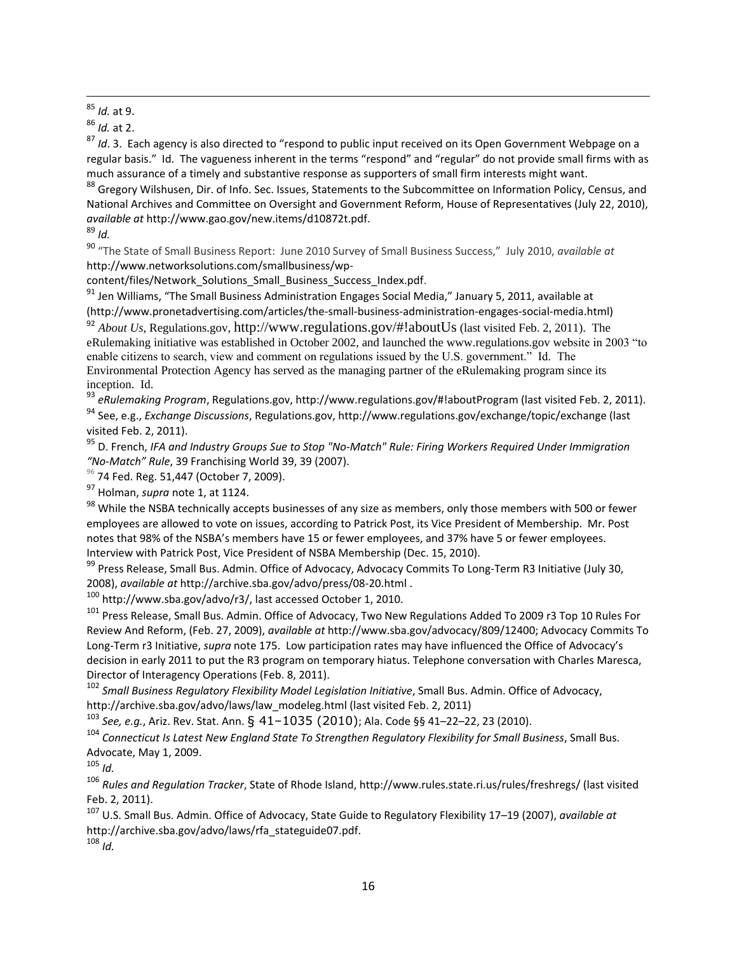$\overline{a}$ <sup>85</sup> *Id.* at 9.

<sup>86</sup> *Id.* at 2.

<sup>87</sup> *Id.* 3. Each agency is also directed to "respond to public input received on its Open Government Webpage on a regular basis." Id. The vagueness inherent in the terms "respond" and "regular" do not provide small firms with as much assurance of a timely and substantive response as supporters of small firm interests might want.

88 Gregory Wilshusen, Dir. of Info. Sec. Issues, Statements to the Subcommittee on Information Policy, Census, and National Archives and Committee on Oversight and Government Reform, House of Representatives (July 22, 2010), *available at* http://www.gao.gov/new.items/d10872t.pdf.

 $89$  *Id.* 

<sup>90</sup> "The State of Small Business Report: June 2010 Survey of Small Business Success," July 2010, *available at* http://www.networksolutions.com/smallbusiness/wp-

content/files/Network\_Solutions\_Small\_Business\_Success\_Index.pdf.

<sup>91</sup> Jen Williams, "The Small Business Administration Engages Social Media," January 5, 2011, available at (http://www.pronetadvertising.com/articles/the-small-business-administration-engages-social-media.html) <sup>92</sup> *About Us,* Regulations.gov, http://www.regulations.gov/#!aboutUs (last visited Feb. 2, 2011). The eRulemaking initiative was established in October 2002, and launched the www.regulations.gov website in 2003 "to enable citizens to search, view and comment on regulations issued by the U.S. government." Id. The

Environmental Protection Agency has served as the managing partner of the eRulemaking program since its inception. Id.

<sup>93</sup> *eRulemaking Program*, Regulations.gov, http://www.regulations.gov/#!aboutProgram (last visited Feb. 2, 2011).

<sup>94</sup> See, e.g., *Exchange Discussions*, Regulations.gov, http://www.regulations.gov/exchange/topic/exchange (last visited Feb. 2, 2011).

<sup>95</sup> D. French, *IFA and Industry Groups Sue to Stop "No-Match" Rule: Firing Workers Required Under Immigration "No-Match" Rule*, 39 Franchising World 39, 39 (2007).

**<sup>96</sup>** 74 Fed. Reg. 51,447 (October 7, 2009).

<sup>97</sup> Holman, *supra* note 1, at 1124.

98 While the NSBA technically accepts businesses of any size as members, only those members with 500 or fewer employees are allowed to vote on issues, according to Patrick Post, its Vice President of Membership. Mr. Post notes that 98% of the NSBA's members have 15 or fewer employees, and 37% have 5 or fewer employees. Interview with Patrick Post, Vice President of NSBA Membership (Dec. 15, 2010).

99 Press Release, Small Bus. Admin. Office of Advocacy, Advocacy Commits To Long-Term R3 Initiative (July 30, 2008), *available at* http://archive.sba.gov/advo/press/08-20.html .

<sup>100</sup> http://www.sba.gov/advo/r3/, last accessed October 1, 2010.

<sup>101</sup> Press Release, Small Bus. Admin. Office of Advocacy, Two New Regulations Added To 2009 r3 Top 10 Rules For Review And Reform, (Feb. 27, 2009), *available at* http://www.sba.gov/advocacy/809/12400; Advocacy Commits To Long-Term r3 Initiative, *supra* note 175. Low participation rates may have influenced the Office of Advocacy's decision in early 2011 to put the R3 program on temporary hiatus. Telephone conversation with Charles Maresca, Director of Interagency Operations (Feb. 8, 2011).

<sup>102</sup> *Small Business Regulatory Flexibility Model Legislation Initiative*, Small Bus. Admin. Office of Advocacy, http://archive.sba.gov/advo/laws/law\_modeleg.html (last visited Feb. 2, 2011)

<sup>103</sup> *See, e.g.*, Ariz. Rev. Stat. Ann. § 41–1035 (2010); Ala. Code §§ 41–22–22, 23 (2010).

<sup>104</sup> *Connecticut Is Latest New England State To Strengthen Regulatory Flexibility for Small Business*, Small Bus. Advocate, May 1, 2009.

<sup>105</sup> *Id.*

<sup>106</sup> *Rules and Regulation Tracker*, State of Rhode Island, http://www.rules.state.ri.us/rules/freshregs/ (last visited Feb. 2, 2011).

<sup>107</sup> U.S. Small Bus. Admin. Office of Advocacy, State Guide to Regulatory Flexibility 17–19 (2007), *available at* http://archive.sba.gov/advo/laws/rfa\_stateguide07.pdf.

<sup>108</sup> *Id.*